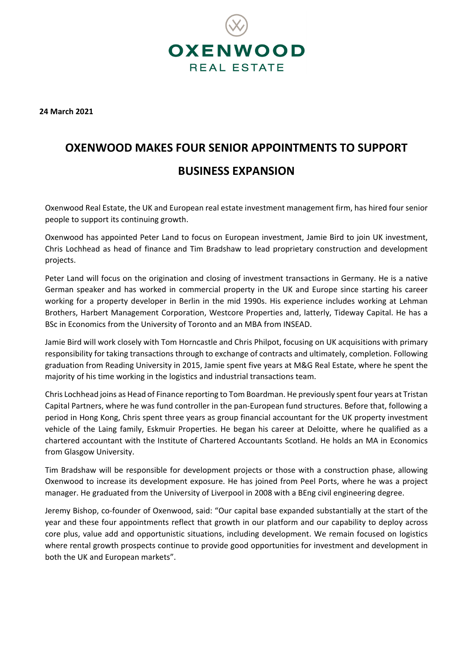

**24 March 2021**

## **OXENWOOD MAKES FOUR SENIOR APPOINTMENTS TO SUPPORT BUSINESS EXPANSION**

Oxenwood Real Estate, the UK and European real estate investment management firm, has hired four senior people to support its continuing growth.

Oxenwood has appointed Peter Land to focus on European investment, Jamie Bird to join UK investment, Chris Lochhead as head of finance and Tim Bradshaw to lead proprietary construction and development projects.

Peter Land will focus on the origination and closing of investment transactions in Germany. He is a native German speaker and has worked in commercial property in the UK and Europe since starting his career working for a property developer in Berlin in the mid 1990s. His experience includes working at Lehman Brothers, Harbert Management Corporation, Westcore Properties and, latterly, Tideway Capital. He has a BSc in Economics from the University of Toronto and an MBA from INSEAD.

Jamie Bird will work closely with Tom Horncastle and Chris Philpot, focusing on UK acquisitions with primary responsibility for taking transactions through to exchange of contracts and ultimately, completion. Following graduation from Reading University in 2015, Jamie spent five years at M&G Real Estate, where he spent the majority of his time working in the logistics and industrial transactions team.

Chris Lochhead joins as Head of Finance reporting to Tom Boardman. He previously spent four years at Tristan Capital Partners, where he was fund controller in the pan-European fund structures. Before that, following a period in Hong Kong, Chris spent three years as group financial accountant for the UK property investment vehicle of the Laing family, Eskmuir Properties. He began his career at Deloitte, where he qualified as a chartered accountant with the Institute of Chartered Accountants Scotland. He holds an MA in Economics from Glasgow University.

Tim Bradshaw will be responsible for development projects or those with a construction phase, allowing Oxenwood to increase its development exposure. He has joined from Peel Ports, where he was a project manager. He graduated from the University of Liverpool in 2008 with a BEng civil engineering degree.

Jeremy Bishop, co-founder of Oxenwood, said: "Our capital base expanded substantially at the start of the year and these four appointments reflect that growth in our platform and our capability to deploy across core plus, value add and opportunistic situations, including development. We remain focused on logistics where rental growth prospects continue to provide good opportunities for investment and development in both the UK and European markets".